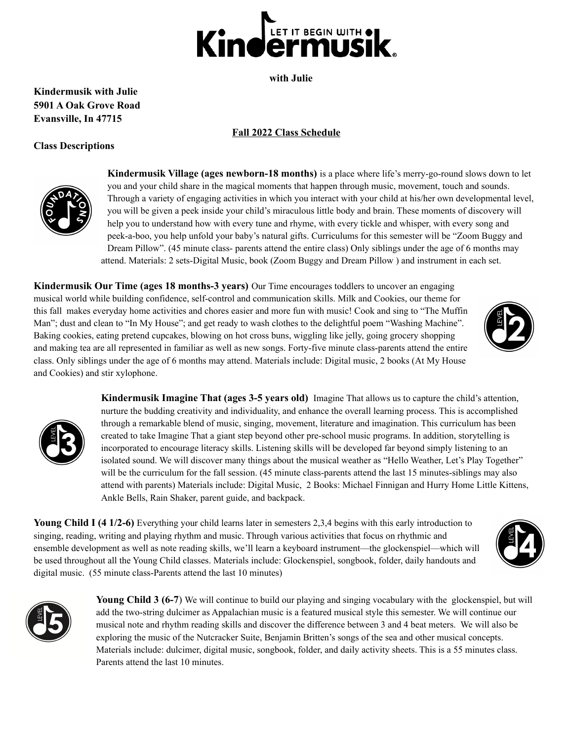

**with Julie**

## **Kindermusik with Julie 5901 A Oak Grove Road Evansville, In 47715**

## **Fall 2022 Class Schedule**

## **Class Descriptions**



**Kindermusik Village (ages newborn-18 months)** is a place where life's merry-go-round slows down to let you and your child share in the magical moments that happen through music, movement, touch and sounds. Through a variety of engaging activities in which you interact with your child at his/her own developmental level, you will be given a peek inside your child's miraculous little body and brain. These moments of discovery will help you to understand how with every tune and rhyme, with every tickle and whisper, with every song and peek-a-boo, you help unfold your baby's natural gifts. Curriculums for this semester will be "Zoom Buggy and Dream Pillow". (45 minute class- parents attend the entire class) Only siblings under the age of 6 months may attend. Materials: 2 sets-Digital Music, book (Zoom Buggy and Dream Pillow ) and instrument in each set.

**Kindermusik Our Time (ages 18 months-3 years)** Our Time encourages toddlers to uncover an engaging musical world while building confidence, self-control and communication skills. Milk and Cookies, our theme for this fall makes everyday home activities and chores easier and more fun with music! Cook and sing to "The Muffin Man"; dust and clean to "In My House"; and get ready to wash clothes to the delightful poem "Washing Machine". Baking cookies, eating pretend cupcakes, blowing on hot cross buns, wiggling like jelly, going grocery shopping and making tea are all represented in familiar as well as new songs. Forty-five minute class-parents attend the entire class. Only siblings under the age of 6 months may attend. Materials include: Digital music, 2 books (At My House and Cookies) and stir xylophone.





**Kindermusik Imagine That (ages 3-5 years old)** Imagine That allows us to capture the child's attention, nurture the budding creativity and individuality, and enhance the overall learning process. This is accomplished through a remarkable blend of music, singing, movement, literature and imagination. This curriculum has been created to take Imagine That a giant step beyond other pre-school music programs. In addition, storytelling is incorporated to encourage literacy skills. Listening skills will be developed far beyond simply listening to an isolated sound. We will discover many things about the musical weather as "Hello Weather, Let's Play Together" will be the curriculum for the fall session. (45 minute class-parents attend the last 15 minutes-siblings may also attend with parents) Materials include: Digital Music, 2 Books: Michael Finnigan and Hurry Home Little Kittens, Ankle Bells, Rain Shaker, parent guide, and backpack.

**Young Child I (4 1/2-6)** Everything your child learns later in semesters 2,3,4 begins with this early introduction to singing, reading, writing and playing rhythm and music. Through various activities that focus on rhythmic and ensemble development as well as note reading skills, we'll learn a keyboard instrument—the glockenspiel—which will be used throughout all the Young Child classes. Materials include: Glockenspiel, songbook, folder, daily handouts and digital music. (55 minute class-Parents attend the last 10 minutes)



**Young Child 3 (6-7**) We will continue to build our playing and singing vocabulary with the glockenspiel, but will add the two-string dulcimer as Appalachian music is a featured musical style this semester. We will continue our musical note and rhythm reading skills and discover the difference between 3 and 4 beat meters. We will also be exploring the music of the Nutcracker Suite, Benjamin Britten's songs of the sea and other musical concepts. Materials include: dulcimer, digital music, songbook, folder, and daily activity sheets. This is a 55 minutes class. Parents attend the last 10 minutes.